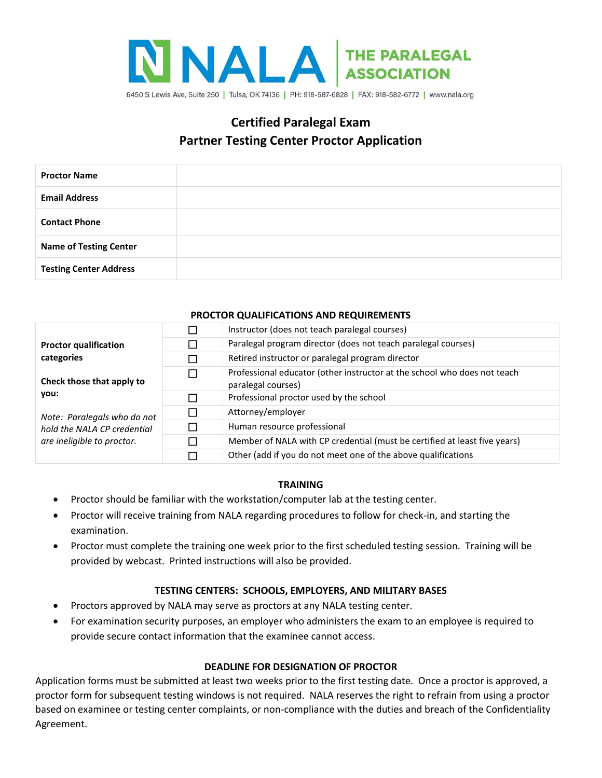

# **Certified Paralegal Exam Partner Testing Center Proctor Application**

| <b>Proctor Name</b>           |  |
|-------------------------------|--|
| <b>Email Address</b>          |  |
| <b>Contact Phone</b>          |  |
| <b>Name of Testing Center</b> |  |
| <b>Testing Center Address</b> |  |

### **PROCTOR QUALIFICATIONS AND REQUIREMENTS**

| <b>Proctor qualification</b><br>categories<br>Check those that apply to<br>vou:<br>Note: Paralegals who do not<br>hold the NALA CP credential<br>are ineligible to proctor. | □            | Instructor (does not teach paralegal courses)                                                  |
|-----------------------------------------------------------------------------------------------------------------------------------------------------------------------------|--------------|------------------------------------------------------------------------------------------------|
|                                                                                                                                                                             | $\mathbf{I}$ | Paralegal program director (does not teach paralegal courses)                                  |
|                                                                                                                                                                             | $\Box$       | Retired instructor or paralegal program director                                               |
|                                                                                                                                                                             | П            | Professional educator (other instructor at the school who does not teach<br>paralegal courses) |
|                                                                                                                                                                             | П            | Professional proctor used by the school                                                        |
|                                                                                                                                                                             | П            | Attorney/employer                                                                              |
|                                                                                                                                                                             | $\Box$       | Human resource professional                                                                    |
|                                                                                                                                                                             | П            | Member of NALA with CP credential (must be certified at least five years)                      |
|                                                                                                                                                                             | П            | Other (add if you do not meet one of the above qualifications                                  |

### **TRAINING**

- Proctor should be familiar with the workstation/computer lab at the testing center.
- Proctor will receive training from NALA regarding procedures to follow for check-in, and starting the examination.
- Proctor must complete the training one week prior to the first scheduled testing session. Training will be provided by webcast. Printed instructions will also be provided.

## **TESTING CENTERS: SCHOOLS, EMPLOYERS, AND MILITARY BASES**

- Proctors approved by NALA may serve as proctors at any NALA testing center.
- For examination security purposes, an employer who administers the exam to an employee is required to provide secure contact information that the examinee cannot access.

### **DEADLINE FOR DESIGNATION OF PROCTOR**

Application forms must be submitted at least two weeks prior to the first testing date. Once a proctor is approved, a proctor form for subsequent testing windows is not required. NALA reserves the right to refrain from using a proctor based on examinee or testing center complaints, or non-compliance with the duties and breach of the Confidentiality Agreement.